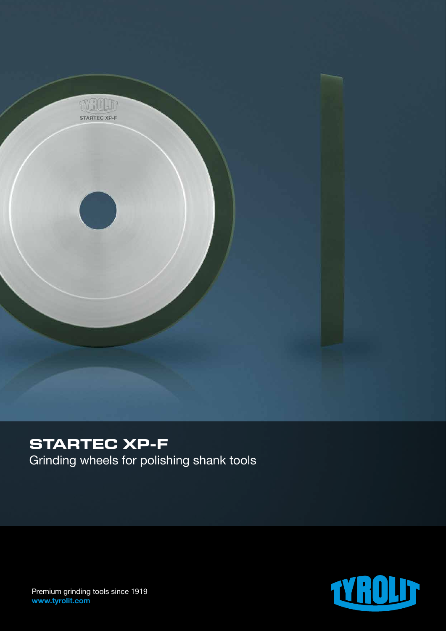

# **STARTEC XP-F**

Grinding wheels for polishing shank tools



Premium grinding tools since 1919 www.tyrolit.com